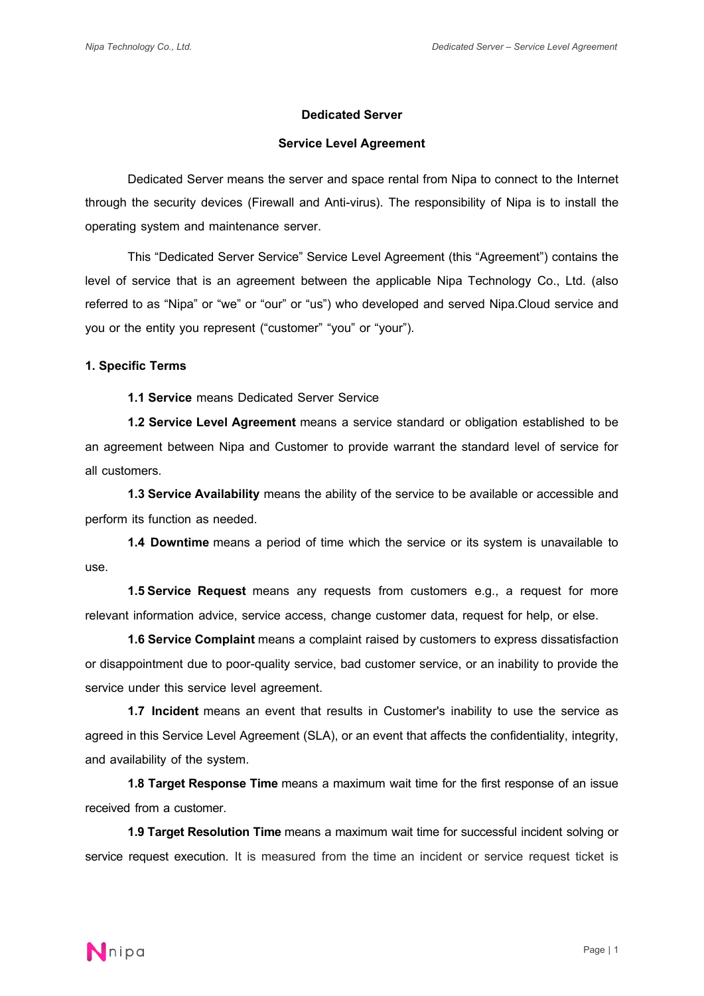### **Dedicated Server**

### **Service Level Agreement**

Dedicated Server means the server and space rental from Nipa to connect to the Internet through the security devices (Firewall and Anti-virus). The responsibility of Nipa is to install the operating system and maintenance server.

This "Dedicated Server Service" Service Level Agreement (this "Agreement") contains the level of service that is an agreement between the applicable Nipa Technology Co., Ltd. (also referred to as "Nipa" or "we" or "our" or "us") who developed and served Nipa.Cloud service and you or the entity you represent ("customer" "you" or "your").

### **1. Specific Terms**

**1.1 Service** means Dedicated Server Service

**1.2 Service Level Agreement** means a service standard or obligation established to be an agreement between Nipa and Customer to provide warrant the standard level of service for all customers.

**1.3 Service Availability** means the ability of the service to be available or accessible and perform its function as needed.

**1.4 Downtime** means a period of time which the service or its system is unavailable to use.

**1.5 Service Request** means any requests from customers e.g., a request for more relevant information advice, service access, change customer data, request for help, or else.

**1.6 Service Complaint** means a complaint raised by customers to express dissatisfaction or disappointment due to poor-quality service, bad customer service, or an inability to provide the service under this service level agreement.

**1.7 Incident** means an event that results in Customer's inability to use the service as agreed in this Service Level Agreement (SLA), or an event that affects the confidentiality, integrity, and availability of the system.

**1.8 Target Response Time** means a maximum wait time for the first response of an issue received from a customer.

**1.9 Target Resolution Time** means a maximum wait time for successful incident solving or service request execution. It is measured from the time an incident or service request ticket is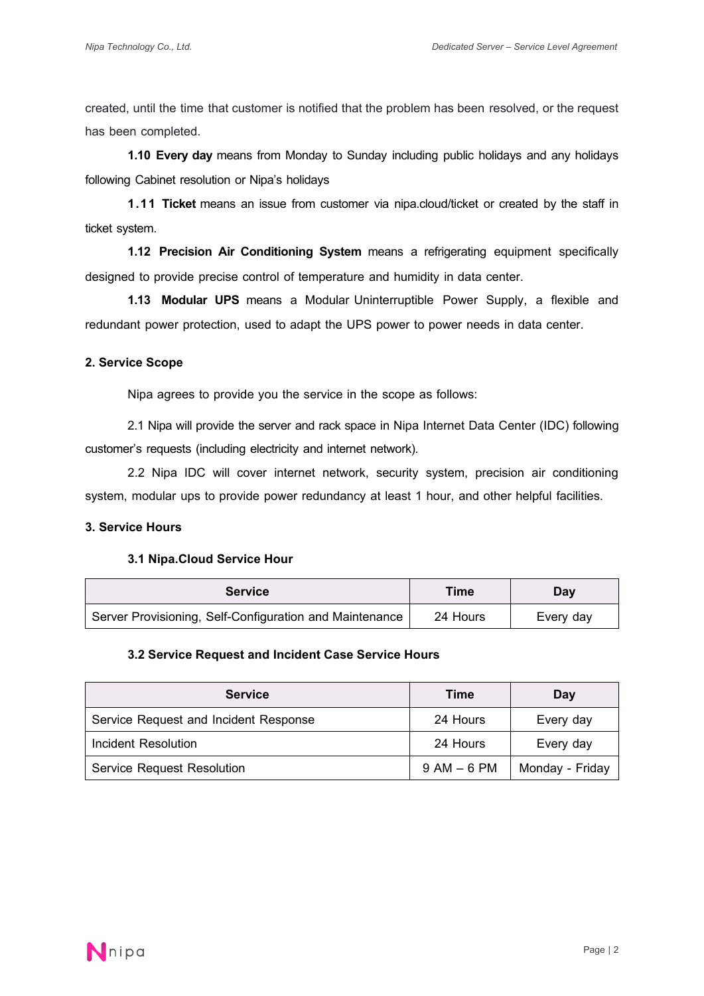created, until the time that customer is notified that the problem has been resolved, or the request has been completed.

**1.10 Every day** means from Monday to Sunday including public holidays and any holidays following Cabinet resolution or Nipa's holidays

**1.11 Ticket** means an issue from customer via nipa.cloud/ticket or created by the staff in ticket system.

**1.12 Precision Air Conditioning System** means a refrigerating equipment specifically designed to provide precise control of temperature and humidity in data center.

**1.13 Modular UPS** means a Modular Uninterruptible Power Supply, a flexible and redundant power protection, used to adapt the UPS power to power needs in data center.

### **2. Service Scope**

Nipa agrees to provide you the service in the scope as follows:

2.1 Nipa will provide the server and rack space in Nipa Internet Data Center (IDC) following customer's requests (including electricity and internet network).

2.2 Nipa IDC will cover internet network, security system, precision air conditioning system, modular ups to provide power redundancy at least 1 hour, and other helpful facilities.

# **3. Service Hours**

# **3.1 Nipa.Cloud Service Hour**

| <b>Service</b>                                          | Time     | Dav       |
|---------------------------------------------------------|----------|-----------|
| Server Provisioning, Self-Configuration and Maintenance | 24 Hours | Every day |

# **3.2 Service Request and Incident Case Service Hours**

| <b>Service</b>                        | Time            | Day             |
|---------------------------------------|-----------------|-----------------|
| Service Request and Incident Response | 24 Hours        | Every day       |
| Incident Resolution                   | 24 Hours        | Every day       |
| <b>Service Request Resolution</b>     | $9$ AM $-$ 6 PM | Monday - Friday |

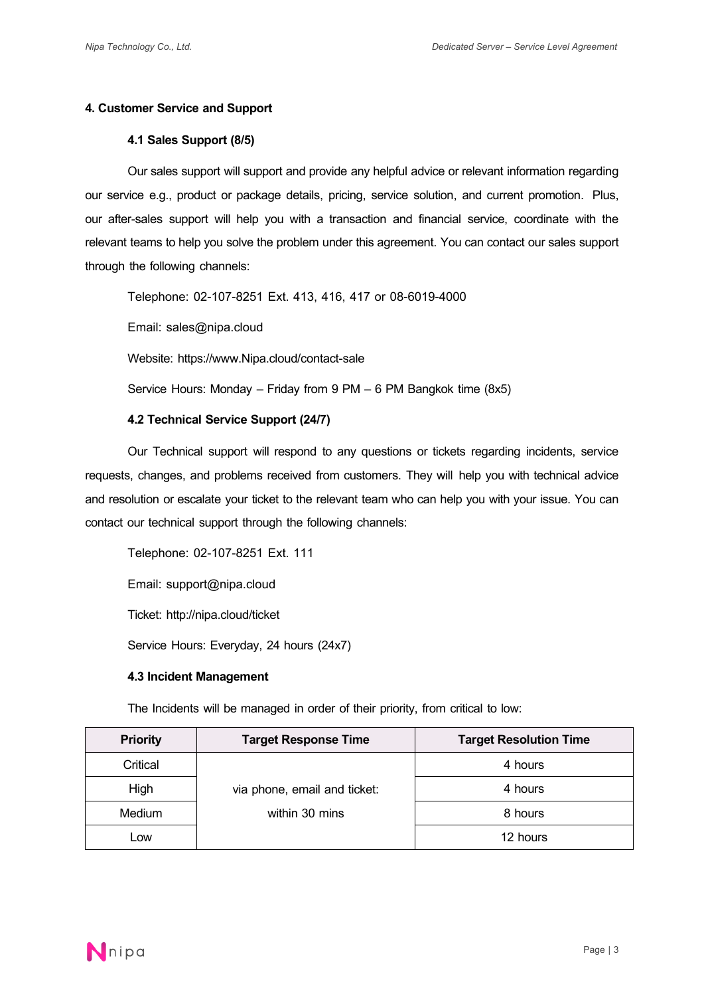# **4. Customer Service and Support**

# **4.1 Sales Support (8/5)**

Our sales support will support and provide any helpful advice or relevant information regarding our service e.g., product or package details, pricing, service solution, and current promotion. Plus, our after-sales support will help you with a transaction and financial service, coordinate with the relevant teams to help you solve the problem under this agreement. You can contact our sales support through the following channels:

Telephone: 02-107-8251 Ext. 413, 416, 417 or 08-6019-4000

Email: sales@nipa.cloud

Website: https://www.Nipa.cloud/contact-sale

Service Hours: Monday –Friday from 9 PM – 6 PM Bangkok time (8x5)

# **4.2 Technical Service Support (24/7)**

Our Technical support will respond to any questions or tickets regarding incidents, service requests, changes, and problems received from customers. They will help you with technical advice and resolution or escalate your ticket to the relevant team who can help you with your issue. You can contact our technical support through the following channels:

Telephone: 02-107-8251 Ext. 111

Email: support@nipa.cloud

Ticket: http://nipa.cloud/ticket

Service Hours: Everyday, 24 hours (24x7)

#### **4.3Incident Management**

The Incidents will be managed in order of their priority, from critical to low:

| <b>Priority</b> | <b>Target Response Time</b>  | <b>Target Resolution Time</b> |
|-----------------|------------------------------|-------------------------------|
| Critical        |                              | 4 hours                       |
| High            | via phone, email and ticket: | 4 hours                       |
| Medium          | within 30 mins               | 8 hours                       |
| <b>LOW</b>      |                              | 12 hours                      |

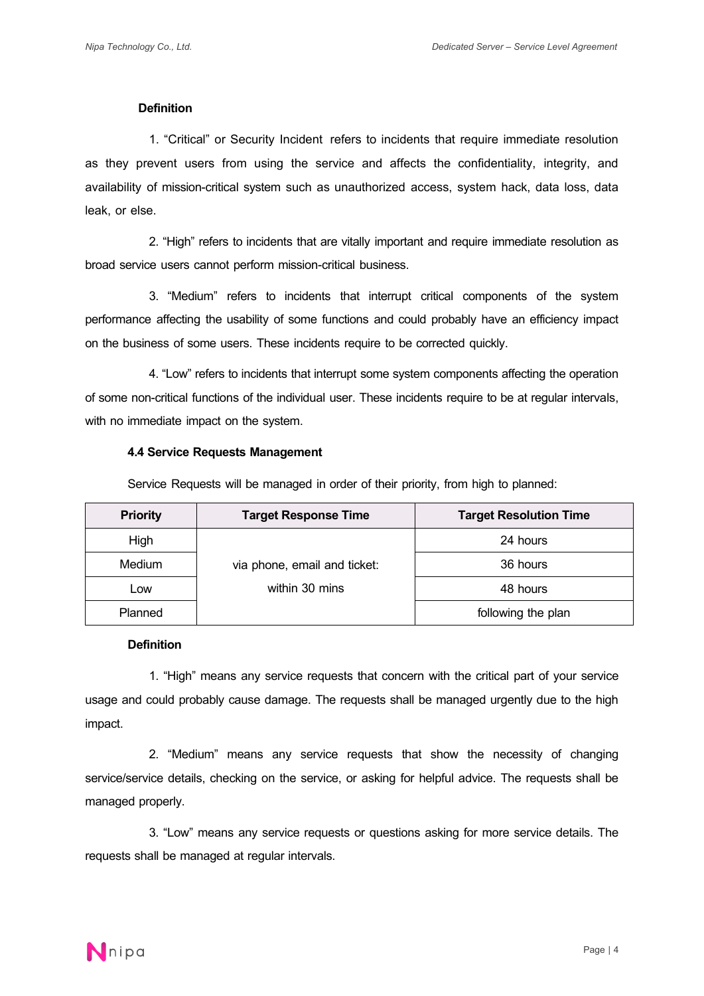#### **Definition**

1. "Critical" or Security Incident refers to incidents that require immediate resolution as they prevent users from using the service and affects the confidentiality, integrity, and availability of mission-critical system such as unauthorized access, system hack, data loss, data leak, or else.

2. "High" refers to incidents that are vitally important and require immediate resolution as broad service users cannot perform mission-critical business.

3. "Medium" refers to incidents that interrupt critical components of the system performance affecting the usability of some functions and could probably have an efficiency impact on the business of some users. These incidents require to be corrected quickly.

4. "Low" refers to incidents that interrupt some system components affecting the operation of some non-critical functions of the individual user. These incidents require to be at regular intervals, with no immediate impact on the system.

#### **4.4 Service Requests Management**

Service Requests will be managed in order of their priority, from high to planned:

| <b>Priority</b> | <b>Target Response Time</b>  | <b>Target Resolution Time</b> |
|-----------------|------------------------------|-------------------------------|
| High            |                              | 24 hours                      |
| Medium          | via phone, email and ticket: | 36 hours                      |
| ∟ow             | within 30 mins               | 48 hours                      |
| Planned         |                              | following the plan            |

### **Definition**

1. "High" means any service requests that concern with the critical part of your service usage and could probably cause damage. The requests shall be managed urgently due to the high impact.

2. "Medium" means any service requests that show the necessity of changing service/service details, checking on the service, or asking for helpful advice. The requests shall be managed properly.

3. "Low" means any service requests or questions asking for more service details. The requests shall be managed at regular intervals.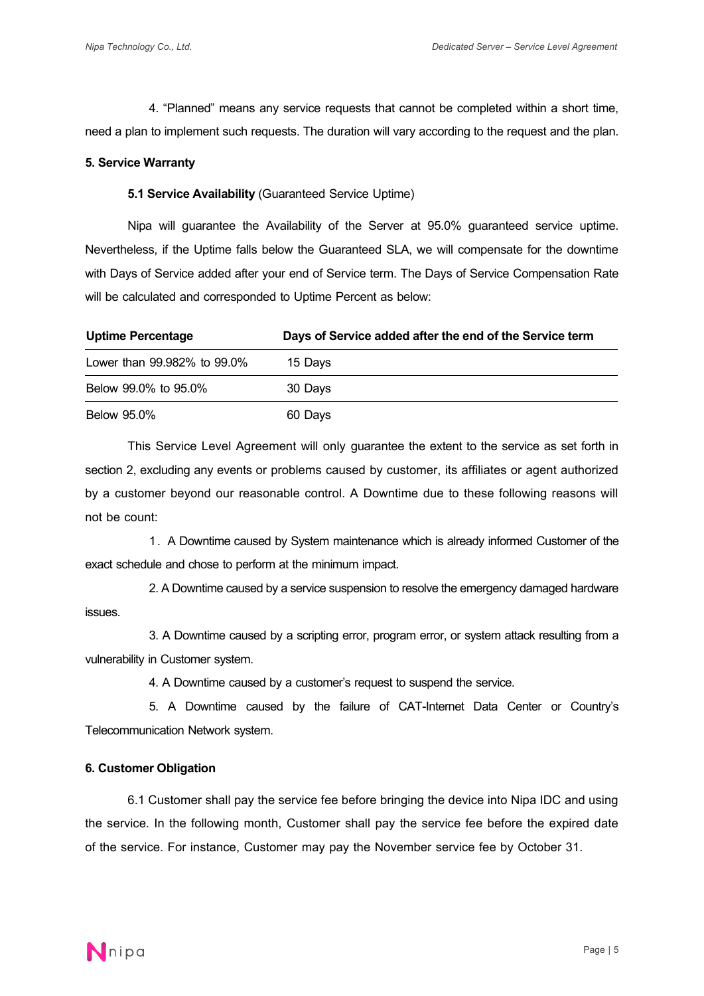4. "Planned" means any service requests that cannot be completed within a short time, need a plan to implement such requests. The duration will vary according to the request and the plan.

### **5. Service Warranty**

### **5.1 Service Availability** (Guaranteed Service Uptime)

Nipa will guarantee the Availability of the Server at 95.0% guaranteed service uptime. Nevertheless, if the Uptime falls below the Guaranteed SLA, we will compensate for the downtime with Days of Service added after your end of Service term. The Days of Service Compensation Rate will be calculated and corresponded to Uptime Percent as below:

| <b>Uptime Percentage</b>    | Days of Service added after the end of the Service term |
|-----------------------------|---------------------------------------------------------|
| Lower than 99,982% to 99.0% | 15 Davs                                                 |
| Below 99.0% to 95.0%        | 30 Days                                                 |
| <b>Below 95.0%</b>          | 60 Days                                                 |

This Service Level Agreement will only guarantee the extent to the service as set forth in section 2, excluding any events or problems caused by customer, its affiliates or agent authorized by a customer beyond our reasonable control. A Downtime due to these following reasons will not be count:

1. A Downtime caused by System maintenance which is already informed Customerof the exact schedule and chose to perform at the minimum impact.

2. A Downtime caused by a service suspension to resolve the emergency damaged hardware issues.

3. A Downtime caused by a scripting error, program error, or system attack resulting from a vulnerability in Customer system.

4. A Downtime caused by a customer's request to suspend the service.

5. A Downtime caused by the failure of CAT-Internet Data Center or Country's Telecommunication Network system.

# **6. Customer Obligation**

6.1 Customer shall pay the service fee before bringing the device into Nipa IDC and using the service. In the following month, Customer shall pay the service fee before the expired date of the service. For instance, Customer may pay the November service fee by October 31.

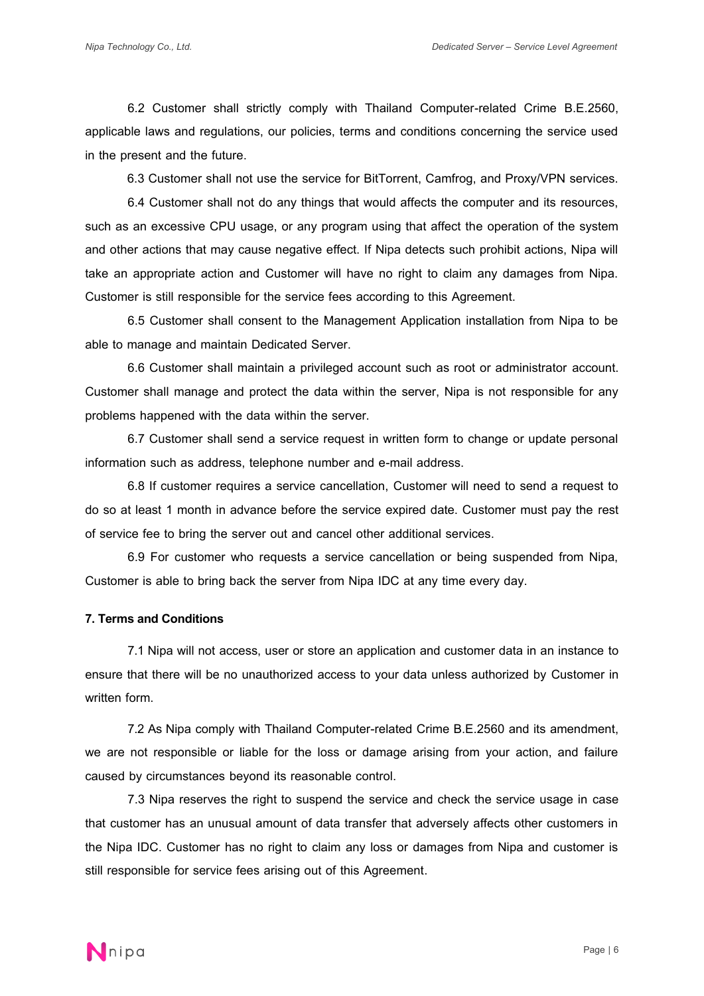6.2 Customer shall strictly comply with Thailand Computer-related Crime B.E.2560, applicable laws and regulations, our policies, terms and conditions concerning the service used in the present and the future.

6.3 Customer shall not use the service for BitTorrent, Camfrog, and Proxy/VPN services.

6.4 Customer shall not do any things that would affects the computer and its resources, such as an excessive CPU usage, or any program using that affect the operation of the system and other actions that may cause negative effect. If Nipa detects such prohibit actions, Nipa will take an appropriate action and Customer will have no right to claim any damages from Nipa. Customer is still responsible for the service fees according to this Agreement.

 6.5 Customer shall consent to the Management Application installation from Nipa to be able to manage and maintain Dedicated Server.

6.6 Customer shall maintain a privileged account such as root or administrator account. Customer shall manage and protect the data within the server, Nipa is not responsible for any problems happened with the data within the server.

6.7 Customer shall send a service request in written form to change or update personal information such as address, telephone number and e-mail address.

6.8 If customer requires a service cancellation, Customer will need to send a request to do so at least 1 month in advance before the service expired date. Customer must pay the rest of service fee to bring the server out and cancel other additional services.

6.9 For customer who requests a service cancellation or being suspended from Nipa, Customer is able to bring back the server from Nipa IDC at any time every day.

### **7. Terms and Conditions**

7.1 Nipa will not access, user or store an application and customer data in an instance to ensure that there will be no unauthorized access to your data unless authorized by Customer in written form.

7.2 As Nipa comply with Thailand Computer-related Crime B.E.2560 and its amendment, we are not responsible or liable for the loss or damage arising from your action, and failure caused by circumstances beyond its reasonable control.

7.3 Nipa reserves the right to suspend the service and check the service usage in case that customer has an unusual amount of data transfer that adversely affects other customers in the Nipa IDC. Customer has no right to claim any loss or damages from Nipa and customer is still responsible for service fees arising out of this Agreement.



Page | 6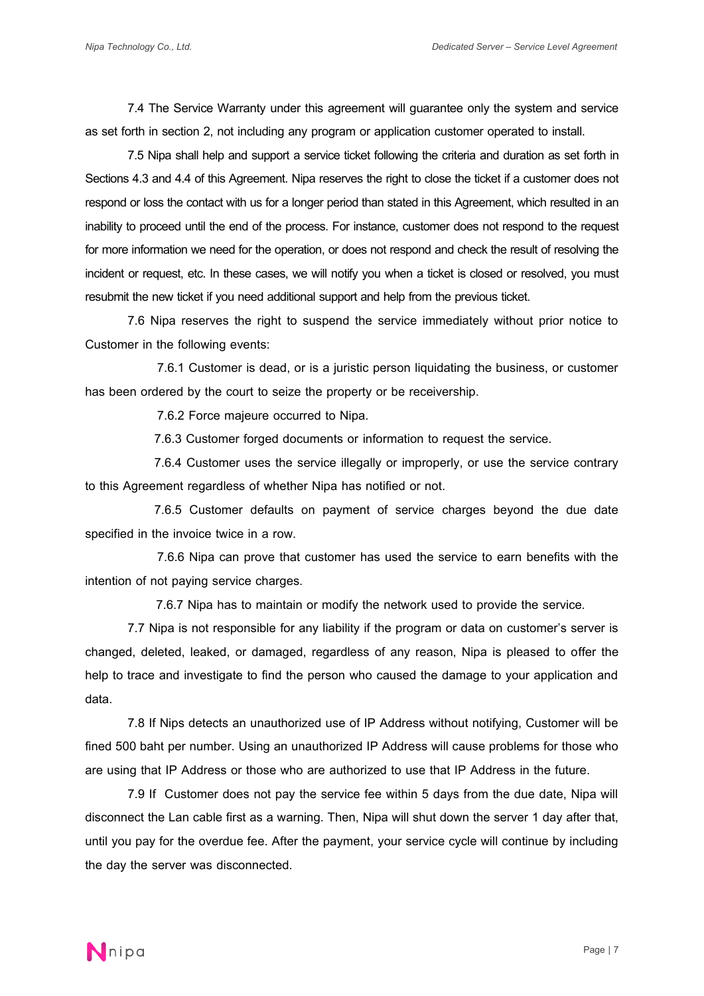7.4 The Service Warranty under this agreement will guarantee only the system and service as set forth in section 2, not including any program or application customer operated to install.

7.5 Nipa shall help and support a service ticket following the criteria and duration as set forth in Sections 4.3 and 4.4 of this Agreement. Nipa reserves the right to close the ticket if a customer does not respond or loss the contact with us for a longer period than stated in this Agreement, which resulted in an inability to proceed until the end of the process. For instance, customer does not respond to the request for more information we need for the operation, or does not respond and check the result of resolving the incident or request, etc. In these cases, we will notify you when a ticket is closed or resolved, you must resubmit the new ticket if you need additional support and help from the previous ticket.

7.6 Nipa reserves the right to suspend the service immediately without prior notice to Customer in the following events:

 7.6.1 Customer is dead, or is a juristic person liquidating the business, or customer has been ordered by the court to seize the property or be receivership.

7.6.2 Force majeure occurred to Nipa.

7.6.3 Customer forged documents or information to request the service.

7.6.4 Customer uses the service illegally or improperly, or use the service contrary to this Agreement regardless of whether Nipa has notified or not.

7.6.5 Customer defaults on payment of service charges beyond the due date specified in the invoice twice in a row.

 7.6.6 Nipa can prove that customer has used the service to earn benefits with the intention of not paying service charges.

7.6.7 Nipa has to maintain or modify the network used to provide the service.

7.7 Nipa is not responsible for any liability if the program or data on customer's server is changed, deleted, leaked, or damaged, regardless of any reason, Nipa is pleased to offer the help to trace and investigate to find the person who caused the damage to your application and data.

7.8 If Nips detects an unauthorized use of IP Address without notifying, Customer will be fined 500 baht per number. Using an unauthorized IP Address will cause problems for those who are using that IP Address or those who are authorized to use that IP Address in the future.

7.9 If Customer does not pay the service fee within 5 days from the due date, Nipa will disconnect the Lan cable first as a warning. Then, Nipa will shut down the server 1 day after that, until you pay for the overdue fee. After the payment, your service cycle will continue by including the day the server was disconnected.